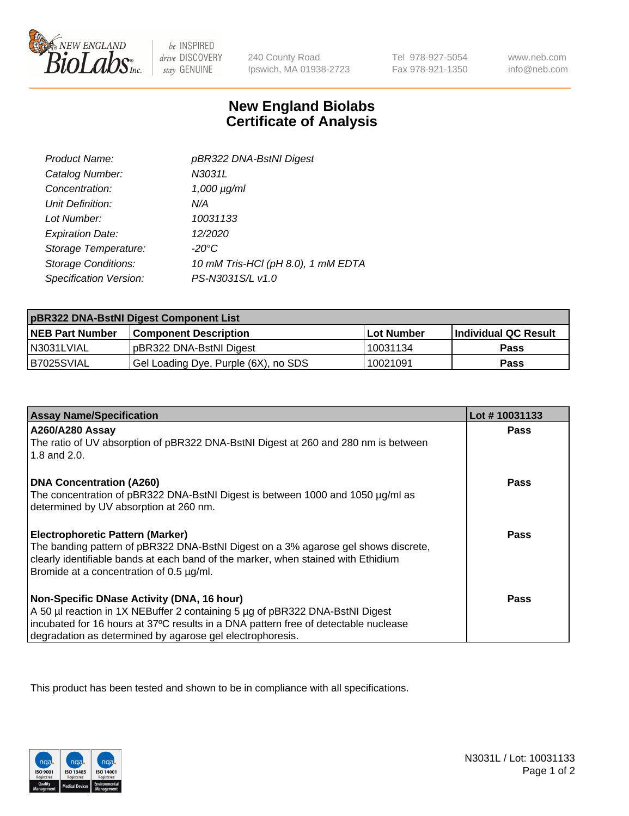

 $be$  INSPIRED drive DISCOVERY stay GENUINE

240 County Road Ipswich, MA 01938-2723 Tel 978-927-5054 Fax 978-921-1350

www.neb.com info@neb.com

## **New England Biolabs Certificate of Analysis**

| Product Name:              | pBR322 DNA-BstNI Digest            |
|----------------------------|------------------------------------|
| Catalog Number:            | N3031L                             |
| Concentration:             | $1,000 \mu g/ml$                   |
| Unit Definition:           | N/A                                |
| Lot Number:                | 10031133                           |
| <b>Expiration Date:</b>    | 12/2020                            |
| Storage Temperature:       | $-20^{\circ}$ C                    |
| <b>Storage Conditions:</b> | 10 mM Tris-HCl (pH 8.0), 1 mM EDTA |
| Specification Version:     | PS-N3031S/L v1.0                   |

| pBR322 DNA-BstNI Digest Component List |                                      |            |                      |  |
|----------------------------------------|--------------------------------------|------------|----------------------|--|
| <b>NEB Part Number</b>                 | <b>Component Description</b>         | Lot Number | Individual QC Result |  |
| N3031LVIAL                             | pBR322 DNA-BstNI Digest              | 10031134   | <b>Pass</b>          |  |
| B7025SVIAL                             | Gel Loading Dye, Purple (6X), no SDS | 10021091   | <b>Pass</b>          |  |

| <b>Assay Name/Specification</b>                                                                                               | Lot #10031133 |
|-------------------------------------------------------------------------------------------------------------------------------|---------------|
| <b>A260/A280 Assay</b><br>The ratio of UV absorption of pBR322 DNA-BstNI Digest at 260 and 280 nm is between                  | <b>Pass</b>   |
| 1.8 and 2.0.                                                                                                                  |               |
| <b>DNA Concentration (A260)</b>                                                                                               | Pass          |
| The concentration of pBR322 DNA-BstNI Digest is between 1000 and 1050 µg/ml as                                                |               |
| determined by UV absorption at 260 nm.                                                                                        |               |
| <b>Electrophoretic Pattern (Marker)</b>                                                                                       | Pass          |
| The banding pattern of pBR322 DNA-BstNI Digest on a 3% agarose gel shows discrete,                                            |               |
| clearly identifiable bands at each band of the marker, when stained with Ethidium<br>Bromide at a concentration of 0.5 µg/ml. |               |
|                                                                                                                               |               |
| Non-Specific DNase Activity (DNA, 16 hour)                                                                                    | Pass          |
| A 50 µl reaction in 1X NEBuffer 2 containing 5 µg of pBR322 DNA-BstNI Digest                                                  |               |
| incubated for 16 hours at 37°C results in a DNA pattern free of detectable nuclease                                           |               |
| degradation as determined by agarose gel electrophoresis.                                                                     |               |

This product has been tested and shown to be in compliance with all specifications.